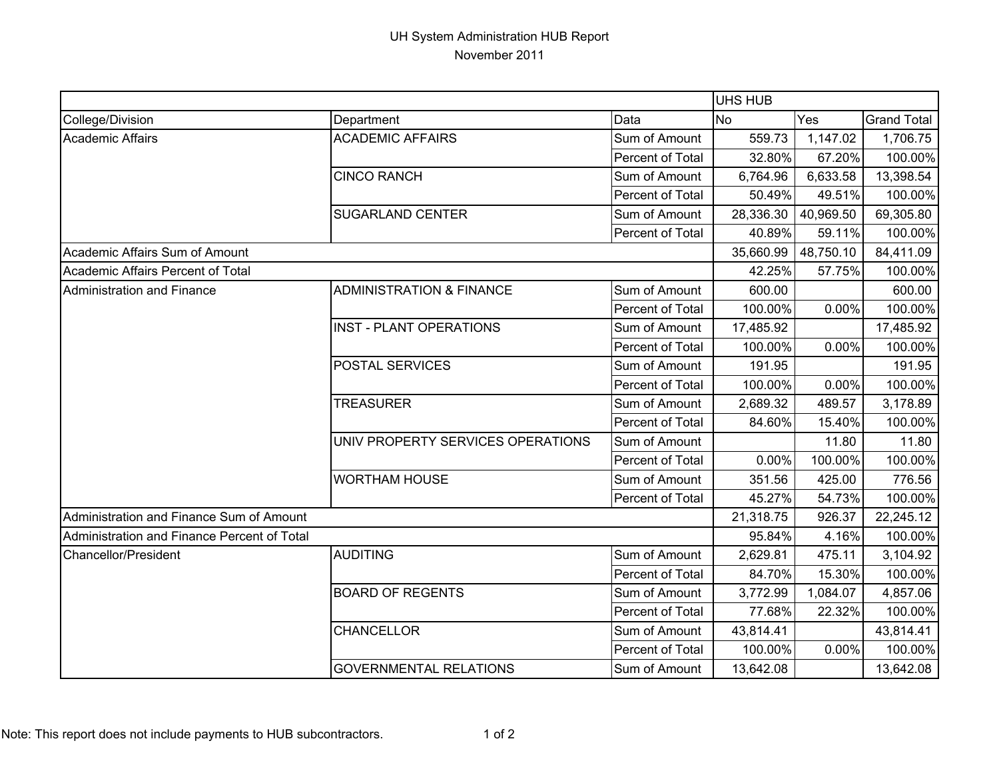## UH System Administration HUB Report November 2011

|                                             |                                     |                  | <b>UHS HUB</b> |           |                    |
|---------------------------------------------|-------------------------------------|------------------|----------------|-----------|--------------------|
| College/Division                            | Department                          | Data             | No             | Yes       | <b>Grand Total</b> |
| <b>Academic Affairs</b>                     | <b>ACADEMIC AFFAIRS</b>             | Sum of Amount    | 559.73         | 1,147.02  | 1,706.75           |
|                                             |                                     | Percent of Total | 32.80%         | 67.20%    | 100.00%            |
|                                             | <b>CINCO RANCH</b>                  | Sum of Amount    | 6,764.96       | 6,633.58  | 13,398.54          |
|                                             |                                     | Percent of Total | 50.49%         | 49.51%    | 100.00%            |
|                                             | <b>SUGARLAND CENTER</b>             | Sum of Amount    | 28,336.30      | 40,969.50 | 69,305.80          |
|                                             |                                     | Percent of Total | 40.89%         | 59.11%    | 100.00%            |
| Academic Affairs Sum of Amount              |                                     |                  | 35,660.99      | 48,750.10 | 84,411.09          |
| Academic Affairs Percent of Total           |                                     |                  | 42.25%         | 57.75%    | 100.00%            |
| Administration and Finance                  | <b>ADMINISTRATION &amp; FINANCE</b> | Sum of Amount    | 600.00         |           | 600.00             |
|                                             |                                     | Percent of Total | 100.00%        | 0.00%     | 100.00%            |
|                                             | <b>INST - PLANT OPERATIONS</b>      | Sum of Amount    | 17,485.92      |           | 17,485.92          |
|                                             |                                     | Percent of Total | 100.00%        | 0.00%     | 100.00%            |
|                                             | POSTAL SERVICES                     | Sum of Amount    | 191.95         |           | 191.95             |
|                                             |                                     | Percent of Total | 100.00%        | 0.00%     | 100.00%            |
|                                             | <b>TREASURER</b>                    | Sum of Amount    | 2,689.32       | 489.57    | 3,178.89           |
|                                             |                                     | Percent of Total | 84.60%         | 15.40%    | 100.00%            |
|                                             | UNIV PROPERTY SERVICES OPERATIONS   | Sum of Amount    |                | 11.80     | 11.80              |
|                                             |                                     | Percent of Total | 0.00%          | 100.00%   | 100.00%            |
|                                             | <b>WORTHAM HOUSE</b>                | Sum of Amount    | 351.56         | 425.00    | 776.56             |
|                                             |                                     | Percent of Total | 45.27%         | 54.73%    | 100.00%            |
| Administration and Finance Sum of Amount    |                                     |                  | 21,318.75      | 926.37    | 22,245.12          |
| Administration and Finance Percent of Total |                                     |                  | 95.84%         | 4.16%     | 100.00%            |
| Chancellor/President                        | <b>AUDITING</b>                     | Sum of Amount    | 2,629.81       | 475.11    | 3,104.92           |
|                                             |                                     | Percent of Total | 84.70%         | 15.30%    | 100.00%            |
|                                             | <b>BOARD OF REGENTS</b>             | Sum of Amount    | 3,772.99       | 1,084.07  | 4,857.06           |
|                                             |                                     | Percent of Total | 77.68%         | 22.32%    | 100.00%            |
|                                             | <b>CHANCELLOR</b>                   | Sum of Amount    | 43,814.41      |           | 43,814.41          |
|                                             |                                     | Percent of Total | 100.00%        | 0.00%     | 100.00%            |
|                                             | <b>GOVERNMENTAL RELATIONS</b>       | Sum of Amount    | 13,642.08      |           | 13,642.08          |